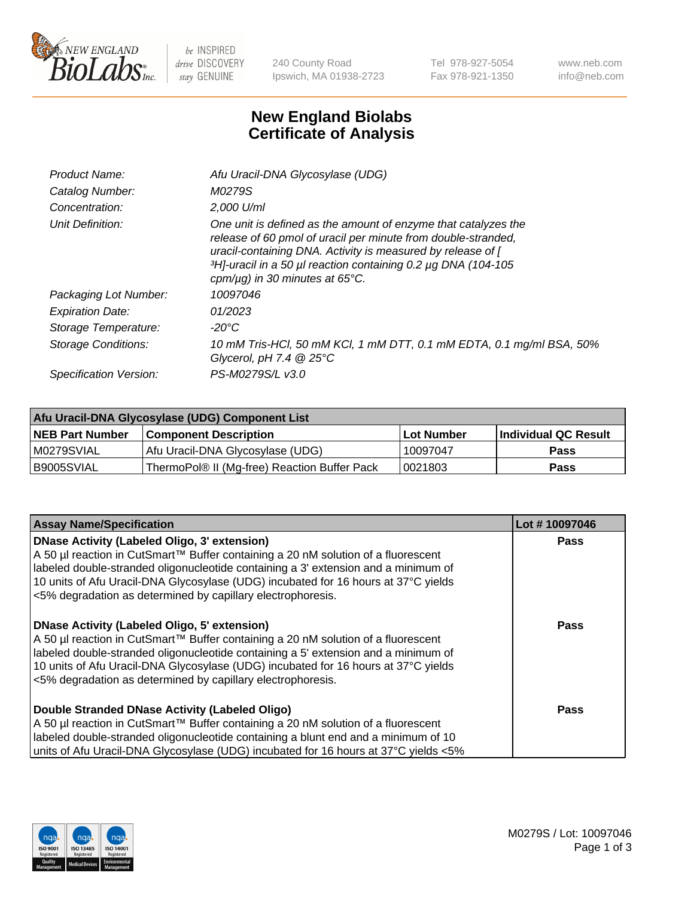

 $be$  INSPIRED drive DISCOVERY stay GENUINE

240 County Road Ipswich, MA 01938-2723 Tel 978-927-5054 Fax 978-921-1350 www.neb.com info@neb.com

## **New England Biolabs Certificate of Analysis**

| Product Name:           | Afu Uracil-DNA Glycosylase (UDG)                                                                                                                                                                                                                                                                        |
|-------------------------|---------------------------------------------------------------------------------------------------------------------------------------------------------------------------------------------------------------------------------------------------------------------------------------------------------|
| Catalog Number:         | M0279S                                                                                                                                                                                                                                                                                                  |
| Concentration:          | $2.000$ U/ml                                                                                                                                                                                                                                                                                            |
| Unit Definition:        | One unit is defined as the amount of enzyme that catalyzes the<br>release of 60 pmol of uracil per minute from double-stranded,<br>uracil-containing DNA. Activity is measured by release of [<br>3H]-uracil in a 50 µl reaction containing 0.2 µg DNA (104-105<br>cpm/ $\mu$ g) in 30 minutes at 65°C. |
| Packaging Lot Number:   | 10097046                                                                                                                                                                                                                                                                                                |
| <b>Expiration Date:</b> | 01/2023                                                                                                                                                                                                                                                                                                 |
| Storage Temperature:    | -20°C                                                                                                                                                                                                                                                                                                   |
| Storage Conditions:     | 10 mM Tris-HCl, 50 mM KCl, 1 mM DTT, 0.1 mM EDTA, 0.1 mg/ml BSA, 50%<br>Glycerol, pH 7.4 $@25^{\circ}C$                                                                                                                                                                                                 |
| Specification Version:  | PS-M0279S/L v3.0                                                                                                                                                                                                                                                                                        |
|                         |                                                                                                                                                                                                                                                                                                         |

| Afu Uracil-DNA Glycosylase (UDG) Component List |                                              |                   |                      |  |
|-------------------------------------------------|----------------------------------------------|-------------------|----------------------|--|
| <b>NEB Part Number</b>                          | <b>Component Description</b>                 | <b>Lot Number</b> | Individual QC Result |  |
| M0279SVIAL                                      | Afu Uracil-DNA Glycosylase (UDG)             | 10097047          | <b>Pass</b>          |  |
| I B9005SVIAL                                    | ThermoPol® II (Mg-free) Reaction Buffer Pack | 10021803          | Pass                 |  |

| <b>Assay Name/Specification</b>                                                                                                                                                                                                                                                                                                                                                     | Lot #10097046 |
|-------------------------------------------------------------------------------------------------------------------------------------------------------------------------------------------------------------------------------------------------------------------------------------------------------------------------------------------------------------------------------------|---------------|
| <b>DNase Activity (Labeled Oligo, 3' extension)</b><br>A 50 µl reaction in CutSmart™ Buffer containing a 20 nM solution of a fluorescent<br>labeled double-stranded oligonucleotide containing a 3' extension and a minimum of<br>10 units of Afu Uracil-DNA Glycosylase (UDG) incubated for 16 hours at 37°C yields<br><5% degradation as determined by capillary electrophoresis. | <b>Pass</b>   |
| <b>DNase Activity (Labeled Oligo, 5' extension)</b><br>A 50 µl reaction in CutSmart™ Buffer containing a 20 nM solution of a fluorescent<br>labeled double-stranded oligonucleotide containing a 5' extension and a minimum of<br>10 units of Afu Uracil-DNA Glycosylase (UDG) incubated for 16 hours at 37°C yields<br><5% degradation as determined by capillary electrophoresis. | Pass          |
| Double Stranded DNase Activity (Labeled Oligo)<br>A 50 µl reaction in CutSmart™ Buffer containing a 20 nM solution of a fluorescent<br>labeled double-stranded oligonucleotide containing a blunt end and a minimum of 10<br>units of Afu Uracil-DNA Glycosylase (UDG) incubated for 16 hours at 37°C yields <5%                                                                    | Pass          |

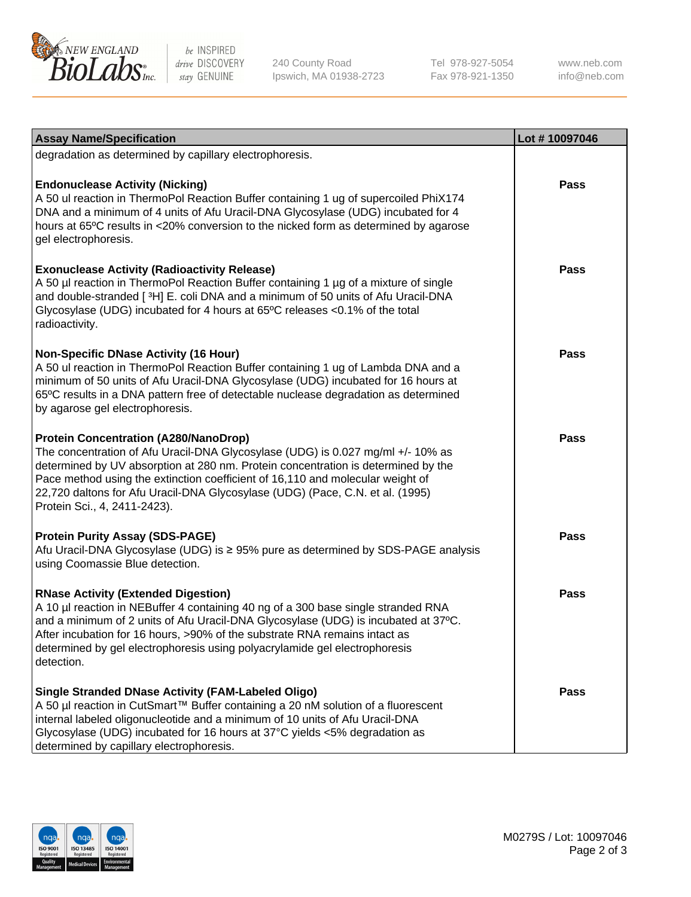

be INSPIRED drive DISCOVERY stay GENUINE

240 County Road Ipswich, MA 01938-2723 Tel 978-927-5054 Fax 978-921-1350

www.neb.com info@neb.com

| <b>Assay Name/Specification</b>                                                                                                                                                                                                                                                                                                                                                                                         | Lot #10097046 |
|-------------------------------------------------------------------------------------------------------------------------------------------------------------------------------------------------------------------------------------------------------------------------------------------------------------------------------------------------------------------------------------------------------------------------|---------------|
| degradation as determined by capillary electrophoresis.                                                                                                                                                                                                                                                                                                                                                                 |               |
| <b>Endonuclease Activity (Nicking)</b><br>A 50 ul reaction in ThermoPol Reaction Buffer containing 1 ug of supercoiled PhiX174<br>DNA and a minimum of 4 units of Afu Uracil-DNA Glycosylase (UDG) incubated for 4<br>hours at 65°C results in <20% conversion to the nicked form as determined by agarose<br>gel electrophoresis.                                                                                      | Pass          |
| <b>Exonuclease Activity (Radioactivity Release)</b><br>A 50 µl reaction in ThermoPol Reaction Buffer containing 1 µg of a mixture of single<br>and double-stranded [3H] E. coli DNA and a minimum of 50 units of Afu Uracil-DNA<br>Glycosylase (UDG) incubated for 4 hours at 65°C releases <0.1% of the total<br>radioactivity.                                                                                        | Pass          |
| <b>Non-Specific DNase Activity (16 Hour)</b><br>A 50 ul reaction in ThermoPol Reaction Buffer containing 1 ug of Lambda DNA and a<br>minimum of 50 units of Afu Uracil-DNA Glycosylase (UDG) incubated for 16 hours at<br>65°C results in a DNA pattern free of detectable nuclease degradation as determined<br>by agarose gel electrophoresis.                                                                        | Pass          |
| <b>Protein Concentration (A280/NanoDrop)</b><br>The concentration of Afu Uracil-DNA Glycosylase (UDG) is 0.027 mg/ml +/- 10% as<br>determined by UV absorption at 280 nm. Protein concentration is determined by the<br>Pace method using the extinction coefficient of 16,110 and molecular weight of<br>22,720 daltons for Afu Uracil-DNA Glycosylase (UDG) (Pace, C.N. et al. (1995)<br>Protein Sci., 4, 2411-2423). | Pass          |
| <b>Protein Purity Assay (SDS-PAGE)</b><br>Afu Uracil-DNA Glycosylase (UDG) is ≥ 95% pure as determined by SDS-PAGE analysis<br>using Coomassie Blue detection.                                                                                                                                                                                                                                                          | <b>Pass</b>   |
| <b>RNase Activity (Extended Digestion)</b><br>A 10 µl reaction in NEBuffer 4 containing 40 ng of a 300 base single stranded RNA<br>and a minimum of 2 units of Afu Uracil-DNA Glycosylase (UDG) is incubated at 37°C.<br>After incubation for 16 hours, >90% of the substrate RNA remains intact as<br>determined by gel electrophoresis using polyacrylamide gel electrophoresis<br>detection.                         | Pass          |
| <b>Single Stranded DNase Activity (FAM-Labeled Oligo)</b><br>A 50 µl reaction in CutSmart™ Buffer containing a 20 nM solution of a fluorescent<br>internal labeled oligonucleotide and a minimum of 10 units of Afu Uracil-DNA<br>Glycosylase (UDG) incubated for 16 hours at 37°C yields <5% degradation as<br>determined by capillary electrophoresis.                                                                | Pass          |